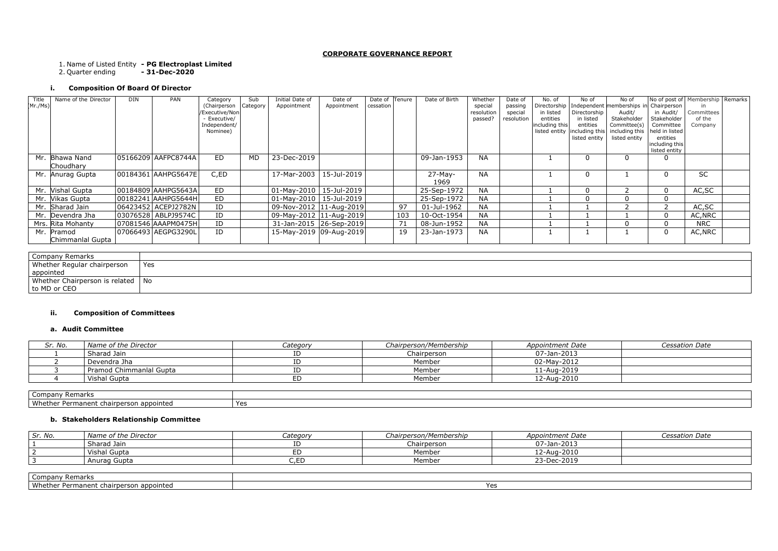#### **CORPORATE GOVERNANCE REPORT**

1. Name of Listed Entity **- PG Electroplast Limited**

2. Quarter ending **- 31-Dec-2020**

# **i. Composition Of Board Of Director**

| Company Remarks                     |     |
|-------------------------------------|-----|
| Whether Regular chairperson         | Yes |
| appointed                           |     |
| Whether Chairperson is related   No |     |
| to MD or CEO                        |     |

## **ii. Composition of Committees**

#### **a. Audit Committee**

| Sr. No.         | Name of the Director    | Category | Chairperson/Membership | <b>Appointment Date</b> | <b>Cessation Date</b> |
|-----------------|-------------------------|----------|------------------------|-------------------------|-----------------------|
|                 | Sharad Jain             |          | Chairperson            | 07-Jan-2013             |                       |
|                 | Devendra Jha            |          | Member                 | 02-May-2012             |                       |
|                 | Pramod Chimmanlal Gupta |          | Member                 | 11-Aug-2019             |                       |
|                 | Vishal Gupta            | ED       | Member                 | 12-Aug-2010             |                       |
|                 |                         |          |                        |                         |                       |
| Company Remarks |                         |          |                        |                         |                       |

| Remarks<br>Compan <sup>1</sup>               |     |
|----------------------------------------------|-----|
| Whether<br>' Permanent chairperson appointed | Yes |

## **b. Stakeholders Relationship Committee**

| Sr. No.         | Name of the Director | Category | Chairperson/Membership | Appointment Date | <b>Cessation Date</b> |
|-----------------|----------------------|----------|------------------------|------------------|-----------------------|
|                 | Sharad Jain          |          | Chairperson            | 07-Jan-2013      |                       |
|                 | Vishal Gupta         |          | Member                 | 12-Aug-2010      |                       |
|                 | Anurag Gupta         | C,ED     | Member                 | 23-Dec-2019      |                       |
|                 |                      |          |                        |                  |                       |
| Comnany Remarks |                      |          |                        |                  |                       |

| ∪ompany<br>Remarks                             |                 |
|------------------------------------------------|-----------------|
| \Mh<br>3DD0INted<br>anan<br>mair<br>∩ല<br>ı Jt | $V \cap C$<br>. |

| Title   | Name of the Director | <b>DIN</b> | PAN                   | Category                 | Sub             | Initial Date of              | Date of     | Date of   | <b>Tenure</b> | Date of Birth | Whether    | Date of    | No. of                          | No of                      | No of                                  | No of post of   Membership   Remarks |            |  |
|---------|----------------------|------------|-----------------------|--------------------------|-----------------|------------------------------|-------------|-----------|---------------|---------------|------------|------------|---------------------------------|----------------------------|----------------------------------------|--------------------------------------|------------|--|
| Mr./Ms) |                      |            |                       | (Chairperson             | <b>Category</b> | Appointment                  | Appointment | cessation |               |               | special    | passing    | Directorship                    |                            | Independent memberships in Chairperson |                                      |            |  |
|         |                      |            |                       | /Executive/Non           |                 |                              |             |           |               |               | resolution | special    | in listed                       | Directorship               | Audit/                                 | in Audit/                            | Committees |  |
|         |                      |            |                       | - Executive/             |                 |                              |             |           |               |               | passed?    | resolution | entities                        | in listed                  | Stakeholder                            | Stakeholder                          | of the     |  |
|         |                      |            |                       | Independent/<br>Nominee) |                 |                              |             |           |               |               |            |            | including this<br>listed entity | entities<br>including this | Committee(s)<br>including this         | Committee<br>held in listed          | Company    |  |
|         |                      |            |                       |                          |                 |                              |             |           |               |               |            |            |                                 | listed entity              | listed entity                          | entities                             |            |  |
|         |                      |            |                       |                          |                 |                              |             |           |               |               |            |            |                                 |                            |                                        | including this                       |            |  |
|         |                      |            |                       |                          |                 |                              |             |           |               |               |            |            |                                 |                            |                                        | listed entity                        |            |  |
|         | Mr. Bhawa Nand       |            | 05166209 AAFPC8744A   | ED                       | <b>MD</b>       | 23-Dec-2019                  |             |           |               | 09-Jan-1953   | <b>NA</b>  |            |                                 |                            |                                        |                                      |            |  |
|         | Choudhary            |            |                       |                          |                 |                              |             |           |               |               |            |            |                                 |                            |                                        |                                      |            |  |
|         | Mr. Anurag Gupta     |            | 00184361 AAHPG5647E   | C,ED                     |                 | 17-Mar-2003                  | 15-Jul-2019 |           |               | $27-May-$     | <b>NA</b>  |            |                                 |                            |                                        | 0                                    | <b>SC</b>  |  |
|         |                      |            |                       |                          |                 |                              |             |           |               | 1969          |            |            |                                 |                            |                                        |                                      |            |  |
|         | Mr. Vishal Gupta     |            | 00184809 AAHPG5643A   | ED                       |                 | $01$ -May-2010   15-Jul-2019 |             |           |               | 25-Sep-1972   | NA         |            |                                 |                            |                                        | $\Omega$                             | AC, SC     |  |
|         | Mr. Vikas Gupta      |            | 00182241 AAHPG5644H   | ED                       |                 | 01-May-2010   15-Jul-2019    |             |           |               | 25-Sep-1972   | NA         |            |                                 |                            |                                        | $\Omega$                             |            |  |
|         | Mr. Sharad Jain      |            | 06423452 ACEPJ2782N   | ID                       |                 | 09-Nov-2012   11-Aug-2019    |             |           | 97            | 01-Jul-1962   | NA         |            |                                 |                            |                                        |                                      | AC, SC     |  |
|         | Mr. Devendra Jha     |            | 03076528   ABLPJ9574C | ID                       |                 | 09-May-2012   11-Aug-2019    |             |           | 103           | 10-Oct-1954   | <b>NA</b>  |            |                                 |                            |                                        | $\Omega$                             | AC, NRC    |  |
|         | Mrs. Rita Mohanty    |            | 07081546   AAAPM0475H | ID                       |                 | 31-Jan-2015 26-Sep-2019      |             |           | 71            | 08-Jun-1952   | NA         |            |                                 |                            |                                        | 0                                    | <b>NRC</b> |  |
| Mr.     | Pramod               |            | 07066493 AEGPG3290L   | ID                       |                 | 15-May-2019 09-Aug-2019      |             |           | 19            | 23-Jan-1973   | NA         |            |                                 |                            |                                        | 0                                    | AC,NRC     |  |
|         | Chimmanlal Gupta     |            |                       |                          |                 |                              |             |           |               |               |            |            |                                 |                            |                                        |                                      |            |  |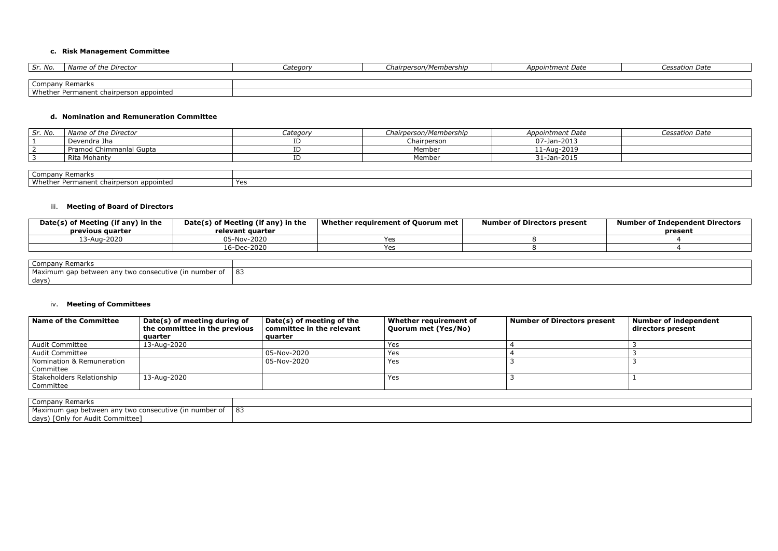# **c. Risk Management Committee**

| Sr. No.         | Name of the Director               | Category | Chairperson/Membership | <i>Appointment Date</i> | <b>Cessation Date</b> |
|-----------------|------------------------------------|----------|------------------------|-------------------------|-----------------------|
|                 |                                    |          |                        |                         |                       |
| Company Remarks |                                    |          |                        |                         |                       |
| Whether         | er Permanent chairperson appointed |          |                        |                         |                       |

## **d. Nomination and Remuneration Committee**

| Sr. No.                             | Name of the Director    | Category | Chairperson/Membership | Appointment Date | Cessation Date |
|-------------------------------------|-------------------------|----------|------------------------|------------------|----------------|
|                                     | Devendra Jha            |          | Chairperson            | 07-Jan-2013      |                |
|                                     | Pramod Chimmanlal Gupta |          | Member                 | 11-Aug-2019      |                |
|                                     | Rita Mohanty            |          | Member                 | 31-Jan-2015      |                |
|                                     |                         |          |                        |                  |                |
| L. Oranger and a Director and the I |                         |          |                        |                  |                |

| ' Remarks<br>Company                                                                 |     |
|--------------------------------------------------------------------------------------|-----|
| Whether<br>opointed י<br>---<br>. persor<br><sup>.</sup> Permanent<br><b>cnair</b> u | Yes |

## iii. **Meeting of Board of Directors**

| Date(s) of Meeting (if any) in the<br>previous quarter | Date(s) of Meeting (if any) in the<br>relevant quarter | Whether requirement of Quorum met | <b>Number of Directors present</b> | <b>Number of Independent Directors</b><br>present |
|--------------------------------------------------------|--------------------------------------------------------|-----------------------------------|------------------------------------|---------------------------------------------------|
| 13-Aug-2020                                            | 05-Nov-2020                                            | ∨ ∆ o                             |                                    |                                                   |
|                                                        | 16-Dec-2020                                            | 0۵                                |                                    |                                                   |
|                                                        |                                                        |                                   |                                    |                                                   |
| Company Remarks                                        |                                                        |                                   |                                    |                                                   |

| Company<br>: Remarks                                                                  |    |
|---------------------------------------------------------------------------------------|----|
| Maximum gap<br>number of<br>7 two consecutive (in<br>$\omega$ between anv $^{\prime}$ | 83 |
| days                                                                                  |    |

#### iv. **Meeting of Committees**

| Name of the Committee                  | Date(s) of meeting during of<br>the committee in the previous<br>quarter | Date(s) of meeting of the<br>committee in the relevant<br>auarter | Whether requirement of<br>Quorum met (Yes/No) | <b>Number of Directors present</b> | <b>Number of independent</b><br>directors present |
|----------------------------------------|--------------------------------------------------------------------------|-------------------------------------------------------------------|-----------------------------------------------|------------------------------------|---------------------------------------------------|
| Audit Committee                        | 13-Aug-2020                                                              |                                                                   | Yes                                           |                                    |                                                   |
| <b>Audit Committee</b>                 |                                                                          | 05-Nov-2020                                                       | Yes                                           |                                    |                                                   |
| Nomination & Remuneration<br>Committee |                                                                          | 05-Nov-2020                                                       | Yes                                           |                                    |                                                   |
| Stakeholders Relationship<br>Committee | 13-Aug-2020                                                              |                                                                   | Yes                                           |                                    |                                                   |
|                                        |                                                                          |                                                                   |                                               |                                    |                                                   |

| Company<br>' Remarks                                                      |        |
|---------------------------------------------------------------------------|--------|
| Maximum<br>number of<br>consecutive<br>, between i<br>anv<br>two<br>ı qap | ാ<br>൦ |
| [Only<br>days <sup>)</sup><br>Committee<br>Audit<br>∕ for                 |        |

| <b>Cessation Date</b> |  |  |
|-----------------------|--|--|
|                       |  |  |
|                       |  |  |
|                       |  |  |
|                       |  |  |
|                       |  |  |
|                       |  |  |
|                       |  |  |
| <b>Cessation Date</b> |  |  |
|                       |  |  |
|                       |  |  |
|                       |  |  |
|                       |  |  |
|                       |  |  |